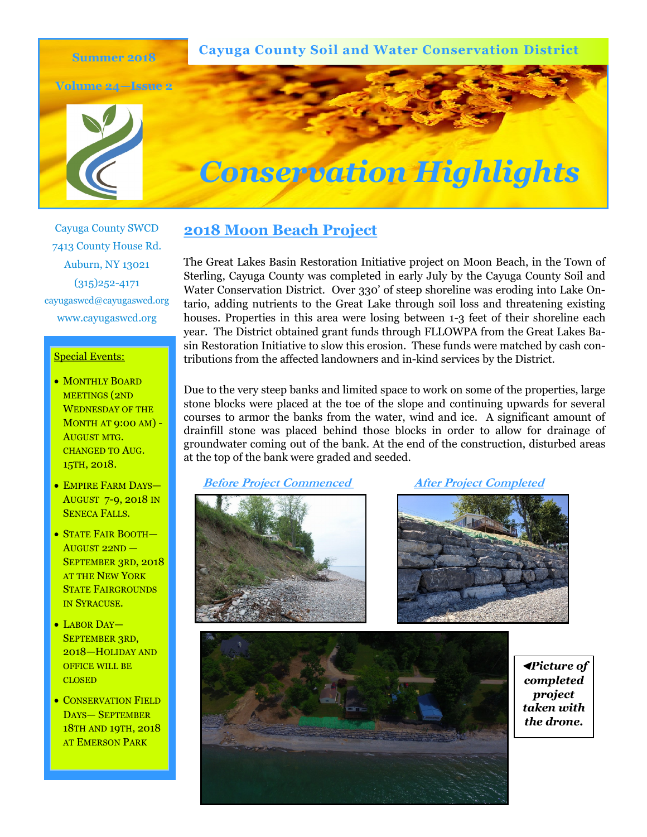**Cayuga County Soil and Water Conservation District**

**Volume 24—Issue 2**

**Summer 2018**





Cayuga County SWCD 7413 County House Rd. Auburn, NY 13021 (315)252-4171 cayugaswcd@cayugaswcd.org www.cayugaswcd.org

#### Special Events:

- MONTHLY BOARD MEETINGS (2ND WEDNESDAY OF THE MONTH AT 9:00 AM) - AUGUST MTG. CHANGED TO AUG. 15TH, 2018.
- EMPIRE FARM DAYS— AUGUST 7-9, 2018 IN SENECA FALLS.
- STATE FAIR BOOTH— AUGUST 22ND — SEPTEMBER 3RD, 2018 AT THE NEW YORK STATE FAIRGROUNDS IN SYRACUSE.
- LABOR DAY-SEPTEMBER 3RD, 2018—HOLIDAY AND OFFICE WILL BE **CLOSED**
- CONSERVATION FIELD DAYS— SEPTEMBER 18TH AND 19TH, 2018 AT EMERSON PARK

## **2018 Moon Beach Project**

The Great Lakes Basin Restoration Initiative project on Moon Beach, in the Town of Sterling, Cayuga County was completed in early July by the Cayuga County Soil and Water Conservation District. Over 330' of steep shoreline was eroding into Lake Ontario, adding nutrients to the Great Lake through soil loss and threatening existing houses. Properties in this area were losing between 1-3 feet of their shoreline each year. The District obtained grant funds through FLLOWPA from the Great Lakes Basin Restoration Initiative to slow this erosion. These funds were matched by cash contributions from the affected landowners and in-kind services by the District.

Due to the very steep banks and limited space to work on some of the properties, large stone blocks were placed at the toe of the slope and continuing upwards for several courses to armor the banks from the water, wind and ice. A significant amount of drainfill stone was placed behind those blocks in order to allow for drainage of groundwater coming out of the bank. At the end of the construction, disturbed areas at the top of the bank were graded and seeded.

 **Before Project Commenced After Project Completed**







**◄***Picture of completed project taken with the drone.*